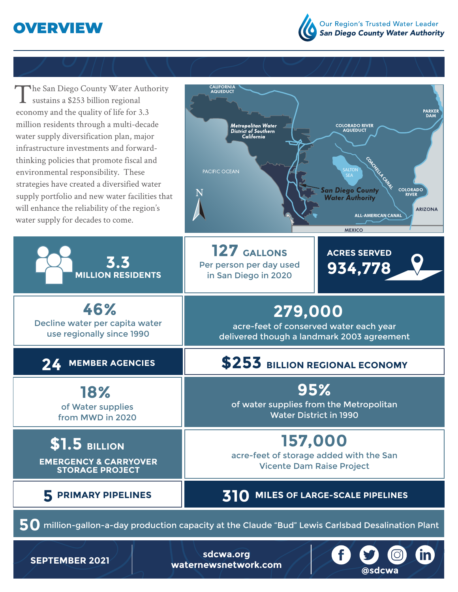



| The San Diego County Water Authority<br>sustains a \$253 billion regional<br>economy and the quality of life for 3.3<br>million residents through a multi-decade<br>water supply diversification plan, major<br>infrastructure investments and forward-<br>thinking policies that promote fiscal and<br>environmental responsibility. These<br>strategies have created a diversified water<br>supply portfolio and new water facilities that<br>will enhance the reliability of the region's<br>water supply for decades to come. | CALIFORNIA<br><b>AQUEDUCT</b><br><b>PARKER</b><br><b>DAM</b><br>Metropolitan Water<br><b>COLORADO RIVER</b><br>AQUEDUCT<br><b>District of Southern</b><br>California<br>Cacitetta<br><b>SALTON</b><br>PACIFIC OCEAN<br><b>SEA</b><br><b>COLORADO</b><br><b>San Diego County</b><br><b>RIVER</b><br><b>Water Authority</b><br><b>ARIZONA</b><br><b>ALL-AMERICAN CANAL</b><br><b>MEXICO</b> |
|-----------------------------------------------------------------------------------------------------------------------------------------------------------------------------------------------------------------------------------------------------------------------------------------------------------------------------------------------------------------------------------------------------------------------------------------------------------------------------------------------------------------------------------|-------------------------------------------------------------------------------------------------------------------------------------------------------------------------------------------------------------------------------------------------------------------------------------------------------------------------------------------------------------------------------------------|
| 3.3<br><b>MILLION RESIDENTS</b>                                                                                                                                                                                                                                                                                                                                                                                                                                                                                                   | 127 GALLONS<br><b>ACRES SERVED</b><br>Per person per day used<br>934,778<br>in San Diego in 2020                                                                                                                                                                                                                                                                                          |
| 46%<br>Decline water per capita water<br>use regionally since 1990                                                                                                                                                                                                                                                                                                                                                                                                                                                                | 279,000<br>acre-feet of conserved water each year<br>delivered though a landmark 2003 agreement                                                                                                                                                                                                                                                                                           |
| <b>MEMBER AGENCIES</b><br><b>74</b>                                                                                                                                                                                                                                                                                                                                                                                                                                                                                               | \$253 BILLION REGIONAL ECONOMY                                                                                                                                                                                                                                                                                                                                                            |
| 18%<br>of Water supplies<br>from MWD in 2020                                                                                                                                                                                                                                                                                                                                                                                                                                                                                      | 95%<br>of water supplies from the Metropolitan<br><b>Water District in 1990</b>                                                                                                                                                                                                                                                                                                           |
| $$1.5$ BILLION<br><b>EMERGENCY &amp; CARRYOVER</b><br><b>STORAGE PROJECT</b>                                                                                                                                                                                                                                                                                                                                                                                                                                                      | 157,000<br>acre-feet of storage added with the San<br><b>Vicente Dam Raise Project</b>                                                                                                                                                                                                                                                                                                    |
| 5 PRIMARY PIPELINES                                                                                                                                                                                                                                                                                                                                                                                                                                                                                                               | 310 MILES OF LARGE-SCALE PIPELINES                                                                                                                                                                                                                                                                                                                                                        |
| $50$ million-gallon-a-day production capacity at the Claude "Bud" Lewis Carlsbad Desalination Plant                                                                                                                                                                                                                                                                                                                                                                                                                               |                                                                                                                                                                                                                                                                                                                                                                                           |
| $f$ $f$ $\odot$<br><b>th</b><br>sdcwa.org<br><b>SEPTEMBER 2021</b><br>an atsarark                                                                                                                                                                                                                                                                                                                                                                                                                                                 |                                                                                                                                                                                                                                                                                                                                                                                           |

**[waternewsnetwork.com](http://waternewsnetwork.com) @sdcwa**